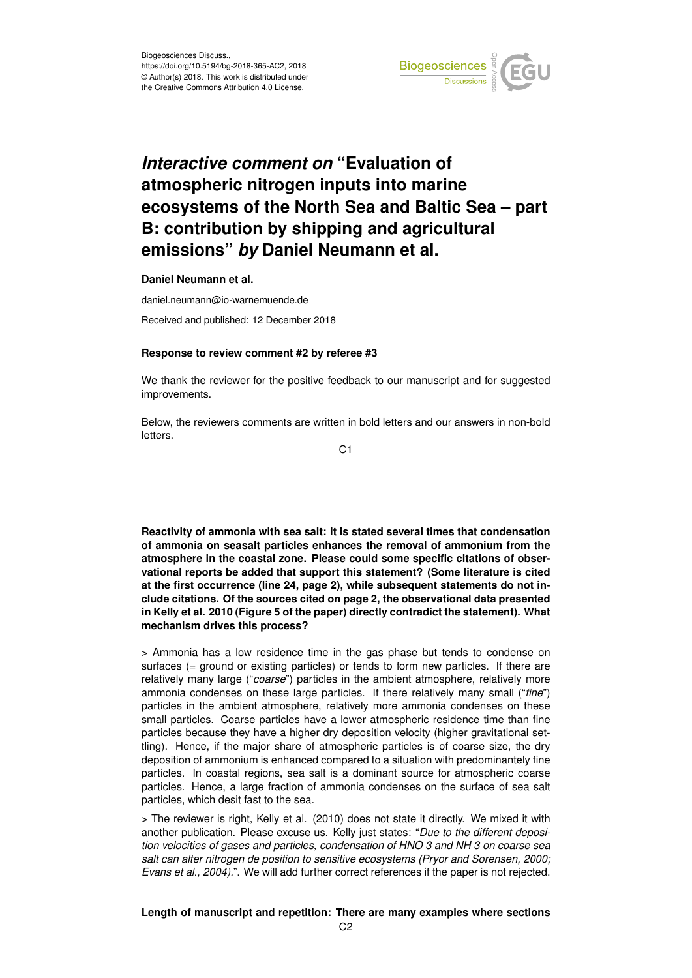

## *Interactive comment on* **"Evaluation of atmospheric nitrogen inputs into marine ecosystems of the North Sea and Baltic Sea – part B: contribution by shipping and agricultural emissions"** *by* **Daniel Neumann et al.**

**Daniel Neumann et al.**

daniel.neumann@io-warnemuende.de

Received and published: 12 December 2018

## **Response to review comment #2 by referee #3**

We thank the reviewer for the positive feedback to our manuscript and for suggested improvements.

Below, the reviewers comments are written in bold letters and our answers in non-bold letters

C<sub>1</sub>

**Reactivity of ammonia with sea salt: It is stated several times that condensation of ammonia on seasalt particles enhances the removal of ammonium from the atmosphere in the coastal zone. Please could some specific citations of observational reports be added that support this statement? (Some literature is cited at the first occurrence (line 24, page 2), while subsequent statements do not include citations. Of the sources cited on page 2, the observational data presented in Kelly et al. 2010 (Figure 5 of the paper) directly contradict the statement). What mechanism drives this process?**

> Ammonia has a low residence time in the gas phase but tends to condense on surfaces (= ground or existing particles) or tends to form new particles. If there are relatively many large ("*coarse*") particles in the ambient atmosphere, relatively more ammonia condenses on these large particles. If there relatively many small ("*fine*") particles in the ambient atmosphere, relatively more ammonia condenses on these small particles. Coarse particles have a lower atmospheric residence time than fine particles because they have a higher dry deposition velocity (higher gravitational settling). Hence, if the major share of atmospheric particles is of coarse size, the dry deposition of ammonium is enhanced compared to a situation with predominantely fine particles. In coastal regions, sea salt is a dominant source for atmospheric coarse particles. Hence, a large fraction of ammonia condenses on the surface of sea salt particles, which desit fast to the sea.

> The reviewer is right, Kelly et al. (2010) does not state it directly. We mixed it with another publication. Please excuse us. Kelly just states: "*Due to the different deposition velocities of gases and particles, condensation of HNO 3 and NH 3 on coarse sea salt can alter nitrogen de position to sensitive ecosystems (Pryor and Sorensen, 2000; Evans et al., 2004).*". We will add further correct references if the paper is not rejected.

## **Length of manuscript and repetition: There are many examples where sections**